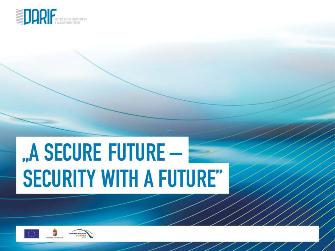

# "A SECURE FUTURE -**SECURITY WITH A FUTURE"**

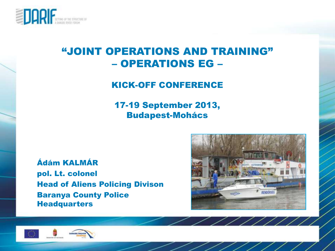

#### "JOINT OPERATIONS AND TRAINING" – OPERATIONS EG –

#### KICK-OFF CONFERENCE

17-19 September 2013, Budapest-Mohács

Ádám KALMÁR pol. Lt. colonel Head of Aliens Policing Divison Baranya County Police **Headquarters** 



//////



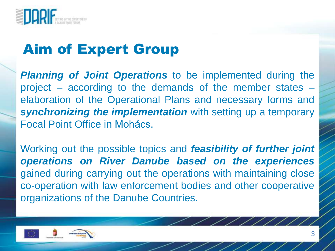

## Aim of Expert Group

*Planning of Joint Operations* to be implemented during the project – according to the demands of the member states – elaboration of the Operational Plans and necessary forms and *synchronizing the implementation* with setting up a temporary Focal Point Office in Mohács.

Working out the possible topics and *feasibility of further joint operations on River Danube based on the experiences* gained during carrying out the operations with maintaining close co-operation with law enforcement bodies and other cooperative organizations of the Danube Countries.

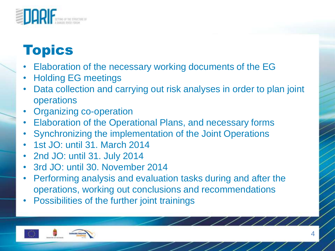

### Topics

- Elaboration of the necessary working documents of the EG
- Holding EG meetings
- Data collection and carrying out risk analyses in order to plan joint operations
- Organizing co-operation
- Elaboration of the Operational Plans, and necessary forms
- Synchronizing the implementation of the Joint Operations
- 1st JO: until 31. March 2014
- 2nd JO: until 31. July 2014
- 3rd JO: until 30. November 2014
- Performing analysis and evaluation tasks during and after the operations, working out conclusions and recommendations
- Possibilities of the further joint trainings

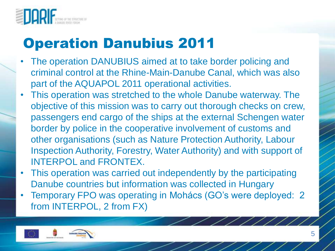

#### Operation Danubius 2011

- The operation DANUBIUS aimed at to take border policing and criminal control at the Rhine-Main-Danube Canal, which was also part of the AQUAPOL 2011 operational activities.
- This operation was stretched to the whole Danube waterway. The objective of this mission was to carry out thorough checks on crew, passengers end cargo of the ships at the external Schengen water border by police in the cooperative involvement of customs and other organisations (such as Nature Protection Authority, Labour Inspection Authority, Forestry, Water Authority) and with support of INTERPOL and FRONTEX.
- This operation was carried out independently by the participating Danube countries but information was collected in Hungary
- Temporary FPO was operating in Mohács (GO's were deployed: 2 from INTERPOL, 2 from FX)

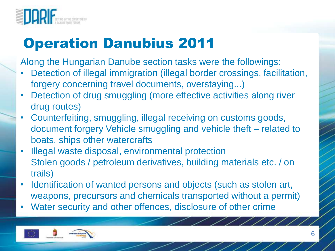

### Operation Danubius 2011

Along the Hungarian Danube section tasks were the followings:

- Detection of illegal immigration (illegal border crossings, facilitation, forgery concerning travel documents, overstaying...)
- Detection of drug smuggling (more effective activities along river drug routes)
- Counterfeiting, smuggling, illegal receiving on customs goods, document forgery Vehicle smuggling and vehicle theft – related to boats, ships other watercrafts
- Illegal waste disposal, environmental protection Stolen goods / petroleum derivatives, building materials etc. / on trails)
- Identification of wanted persons and objects (such as stolen art, weapons, precursors and chemicals transported without a permit)
- Water security and other offences, disclosure of other crime